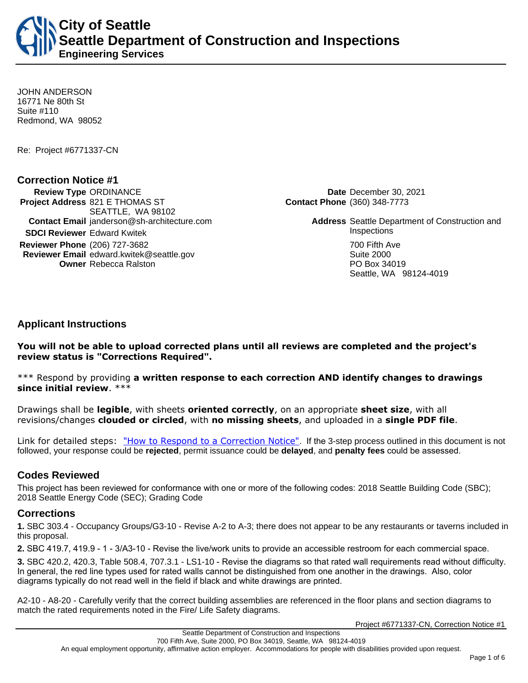**City of Seattle Seattle Department of Construction and Inspections Engineering Services**

JOHN ANDERSON 16771 Ne 80th St Suite #110 Redmond, WA 98052

Re: Project #6771337-CN

### **Correction Notice #1**

**Review Type** ORDINANCE **Date** December 30, 2021 **Project Address** 821 E THOMAS ST SEATTLE, WA 98102 **SDCI Reviewer** Edward Kwitek **Inspections Reviewer Phone** (206) 727-3682 **700 Fifth Ave.** 700 Fifth Ave. **Reviewer Email** edward.kwitek@seattle.gov **Suite 2000** Suite 2000 **Owner** Rebecca Ralston **PO Box 34019** 

**Contact Phone** (360) 348-7773

**Contact Email** janderson@sh-architecture.com **Address** Seattle Department of Construction and Seattle, WA 98124-4019

## **Applicant Instructions**

**You will not be able to upload corrected plans until all reviews are completed and the project's review status is "Corrections Required".**

\*\*\* Respond by providing **a written response to each correction AND identify changes to drawings since initial review**. \*\*\*

Drawings shall be **legible**, with sheets **oriented correctly**, on an appropriate **sheet size**, with all revisions/changes **clouded or circled**, with **no missing sheets**, and uploaded in a **single PDF file**.

Link for detailed steps: ["How to Respond to a Correction Notice"](http://www.seattle.gov/documents/Departments/SDCI/Permits/HowtoRespondSDCICorrectionNotice.pdf). If the 3-step process outlined in this document is not followed, your response could be **rejected**, permit issuance could be **delayed**, and **penalty fees** could be assessed.

## **Codes Reviewed**

This project has been reviewed for conformance with one or more of the following codes: 2018 Seattle Building Code (SBC); 2018 Seattle Energy Code (SEC); Grading Code

#### **Corrections**

**1.** SBC 303.4 - Occupancy Groups/G3-10 - Revise A-2 to A-3; there does not appear to be any restaurants or taverns included in this proposal.

**2.** SBC 419.7, 419.9 - 1 - 3/A3-10 - Revise the live/work units to provide an accessible restroom for each commercial space.

**3.** SBC 420.2, 420.3, Table 508.4, 707.3.1 - LS1-10 - Revise the diagrams so that rated wall requirements read without difficulty. In general, the red line types used for rated walls cannot be distinguished from one another in the drawings. Also, color diagrams typically do not read well in the field if black and white drawings are printed.

A2-10 - A8-20 - Carefully verify that the correct building assemblies are referenced in the floor plans and section diagrams to match the rated requirements noted in the Fire/ Life Safety diagrams.

Project #6771337-CN, Correction Notice #1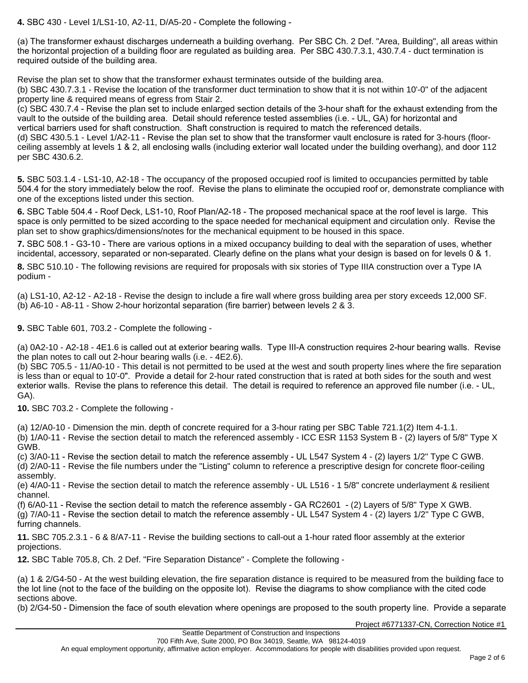**4.** SBC 430 - Level 1/LS1-10, A2-11, D/A5-20 - Complete the following -

(a) The transformer exhaust discharges underneath a building overhang. Per SBC Ch. 2 Def. "Area, Building", all areas within the horizontal projection of a building floor are regulated as building area. Per SBC 430.7.3.1, 430.7.4 - duct termination is required outside of the building area.

Revise the plan set to show that the transformer exhaust terminates outside of the building area.

(b) SBC 430.7.3.1 - Revise the location of the transformer duct termination to show that it is not within 10'-0" of the adjacent property line & required means of egress from Stair 2.

(c) SBC 430.7.4 - Revise the plan set to include enlarged section details of the 3-hour shaft for the exhaust extending from the vault to the outside of the building area. Detail should reference tested assemblies (i.e. - UL, GA) for horizontal and vertical barriers used for shaft construction. Shaft construction is required to match the referenced details.

(d) SBC 430.5.1 - Level 1/A2-11 - Revise the plan set to show that the transformer vault enclosure is rated for 3-hours (floorceiling assembly at levels 1 & 2, all enclosing walls (including exterior wall located under the building overhang), and door 112 per SBC 430.6.2.

**5.** SBC 503.1.4 - LS1-10, A2-18 - The occupancy of the proposed occupied roof is limited to occupancies permitted by table 504.4 for the story immediately below the roof. Revise the plans to eliminate the occupied roof or, demonstrate compliance with one of the exceptions listed under this section.

**6.** SBC Table 504.4 - Roof Deck, LS1-10, Roof Plan/A2-18 - The proposed mechanical space at the roof level is large. This space is only permitted to be sized according to the space needed for mechanical equipment and circulation only. Revise the plan set to show graphics/dimensions/notes for the mechanical equipment to be housed in this space.

**7.** SBC 508.1 - G3-10 - There are various options in a mixed occupancy building to deal with the separation of uses, whether incidental, accessory, separated or non-separated. Clearly define on the plans what your design is based on for levels 0 & 1.

**8.** SBC 510.10 - The following revisions are required for proposals with six stories of Type IIIA construction over a Type IA podium -

(a) LS1-10, A2-12 - A2-18 - Revise the design to include a fire wall where gross building area per story exceeds 12,000 SF. (b) A6-10 - A8-11 - Show 2-hour horizontal separation (fire barrier) between levels 2 & 3.

**9.** SBC Table 601, 703.2 - Complete the following -

(a) 0A2-10 - A2-18 - 4E1.6 is called out at exterior bearing walls. Type III-A construction requires 2-hour bearing walls. Revise the plan notes to call out 2-hour bearing walls (i.e. - 4E2.6).

(b) SBC 705.5 - 11/A0-10 - This detail is not permitted to be used at the west and south property lines where the fire separation is less than or equal to 10'-0". Provide a detail for 2-hour rated construction that is rated at both sides for the south and west exterior walls. Revise the plans to reference this detail. The detail is required to reference an approved file number (i.e. - UL, GA).

**10.** SBC 703.2 - Complete the following -

(a) 12/A0-10 - Dimension the min. depth of concrete required for a 3-hour rating per SBC Table 721.1(2) Item 4-1.1. (b) 1/A0-11 - Revise the section detail to match the referenced assembly - ICC ESR 1153 System B - (2) layers of 5/8" Type X GWB.

(c) 3/A0-11 - Revise the section detail to match the reference assembly - UL L547 System 4 - (2) layers 1/2" Type C GWB. (d) 2/A0-11 - Revise the file numbers under the "Listing" column to reference a prescriptive design for concrete floor-ceiling assembly.

(e) 4/A0-11 - Revise the section detail to match the reference assembly - UL L516 - 1 5/8" concrete underlayment & resilient channel.

(f) 6/A0-11 - Revise the section detail to match the reference assembly - GA RC2601 - (2) Layers of 5/8" Type X GWB. (g) 7/A0-11 - Revise the section detail to match the reference assembly - UL L547 System 4 - (2) layers 1/2" Type C GWB, furring channels.

**11.** SBC 705.2.3.1 - 6 & 8/A7-11 - Revise the building sections to call-out a 1-hour rated floor assembly at the exterior projections.

**12.** SBC Table 705.8, Ch. 2 Def. "Fire Separation Distance" - Complete the following -

(a) 1 & 2/G4-50 - At the west building elevation, the fire separation distance is required to be measured from the building face to the lot line (not to the face of the building on the opposite lot). Revise the diagrams to show compliance with the cited code sections above.

(b) 2/G4-50 - Dimension the face of south elevation where openings are proposed to the south property line. Provide a separate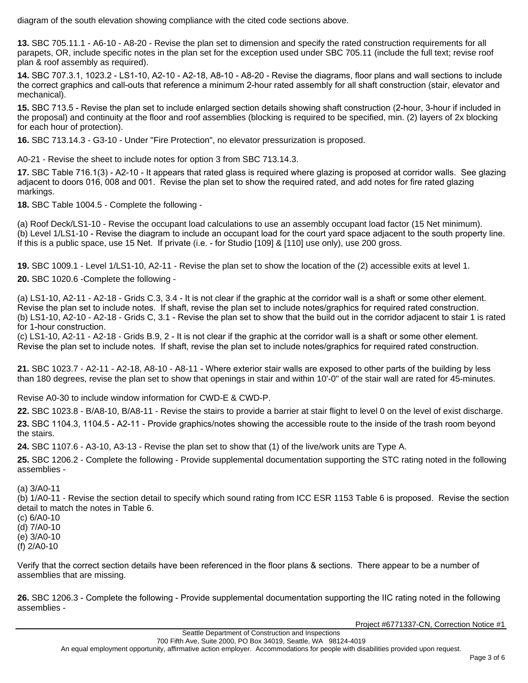diagram of the south elevation showing compliance with the cited code sections above.

**13.** SBC 705.11.1 - A6-10 - A8-20 - Revise the plan set to dimension and specify the rated construction requirements for all parapets, OR, include specific notes in the plan set for the exception used under SBC 705.11 (include the full text; revise roof plan & roof assembly as required).

**14.** SBC 707.3.1, 1023.2 - LS1-10, A2-10 - A2-18, A8-10 - A8-20 - Revise the diagrams, floor plans and wall sections to include the correct graphics and call-outs that reference a minimum 2-hour rated assembly for all shaft construction (stair, elevator and mechanical).

**15.** SBC 713.5 - Revise the plan set to include enlarged section details showing shaft construction (2-hour, 3-hour if included in the proposal) and continuity at the floor and roof assemblies (blocking is required to be specified, min. (2) layers of 2x blocking for each hour of protection).

**16.** SBC 713.14.3 - G3-10 - Under "Fire Protection", no elevator pressurization is proposed.

A0-21 - Revise the sheet to include notes for option 3 from SBC 713.14.3.

**17.** SBC Table 716.1(3) - A2-10 - It appears that rated glass is required where glazing is proposed at corridor walls. See glazing adjacent to doors 016, 008 and 001. Revise the plan set to show the required rated, and add notes for fire rated glazing markings.

**18.** SBC Table 1004.5 - Complete the following -

(a) Roof Deck/LS1-10 - Revise the occupant load calculations to use an assembly occupant load factor (15 Net minimum). (b) Level 1/LS1-10 - Revise the diagram to include an occupant load for the court yard space adjacent to the south property line. If this is a public space, use 15 Net. If private (i.e. - for Studio [109] & [110] use only), use 200 gross.

**19.** SBC 1009.1 - Level 1/LS1-10, A2-11 - Revise the plan set to show the location of the (2) accessible exits at level 1.

**20.** SBC 1020.6 -Complete the following -

(a) LS1-10, A2-11 - A2-18 - Grids C.3, 3.4 - It is not clear if the graphic at the corridor wall is a shaft or some other element. Revise the plan set to include notes. If shaft, revise the plan set to include notes/graphics for required rated construction. (b) LS1-10, A2-10 - A2-18 - Grids C, 3.1 - Revise the plan set to show that the build out in the corridor adjacent to stair 1 is rated for 1-hour construction.

(c) LS1-10, A2-11 - A2-18 - Grids B.9, 2 - It is not clear if the graphic at the corridor wall is a shaft or some other element. Revise the plan set to include notes. If shaft, revise the plan set to include notes/graphics for required rated construction.

**21.** SBC 1023.7 - A2-11 - A2-18, A8-10 - A8-11 - Where exterior stair walls are exposed to other parts of the building by less than 180 degrees, revise the plan set to show that openings in stair and within 10'-0" of the stair wall are rated for 45-minutes.

Revise A0-30 to include window information for CWD-E & CWD-P.

**22.** SBC 1023.8 - B/A8-10, B/A8-11 - Revise the stairs to provide a barrier at stair flight to level 0 on the level of exist discharge. **23.** SBC 1104.3, 1104.5 - A2-11 - Provide graphics/notes showing the accessible route to the inside of the trash room beyond the stairs.

**24.** SBC 1107.6 - A3-10, A3-13 - Revise the plan set to show that (1) of the live/work units are Type A.

**25.** SBC 1206.2 - Complete the following - Provide supplemental documentation supporting the STC rating noted in the following assemblies -

(a) 3/A0-11

(b) 1/A0-11 - Revise the section detail to specify which sound rating from ICC ESR 1153 Table 6 is proposed. Revise the section detail to match the notes in Table 6.

(c) 6/A0-10

(d) 7/A0-10

(e) 3/A0-10

(f) 2/A0-10

Verify that the correct section details have been referenced in the floor plans & sections. There appear to be a number of assemblies that are missing.

**26.** SBC 1206.3 - Complete the following - Provide supplemental documentation supporting the IIC rating noted in the following assemblies -

Project #6771337-CN, Correction Notice #1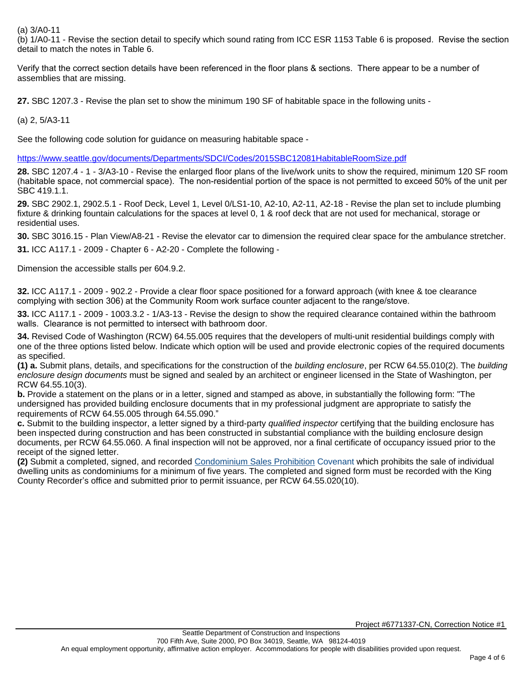#### (a) 3/A0-11

(b) 1/A0-11 - Revise the section detail to specify which sound rating from ICC ESR 1153 Table 6 is proposed. Revise the section detail to match the notes in Table 6.

Verify that the correct section details have been referenced in the floor plans & sections. There appear to be a number of assemblies that are missing.

**27.** SBC 1207.3 - Revise the plan set to show the minimum 190 SF of habitable space in the following units -

(a) 2, 5/A3-11

See the following code solution for guidance on measuring habitable space -

<https://www.seattle.gov/documents/Departments/SDCI/Codes/2015SBC12081HabitableRoomSize.pdf>

**28.** SBC 1207.4 - 1 - 3/A3-10 - Revise the enlarged floor plans of the live/work units to show the required, minimum 120 SF room (habitable space, not commercial space). The non-residential portion of the space is not permitted to exceed 50% of the unit per SBC 419.1.1.

**29.** SBC 2902.1, 2902.5.1 - Roof Deck, Level 1, Level 0/LS1-10, A2-10, A2-11, A2-18 - Revise the plan set to include plumbing fixture & drinking fountain calculations for the spaces at level 0, 1 & roof deck that are not used for mechanical, storage or residential uses.

**30.** SBC 3016.15 - Plan View/A8-21 - Revise the elevator car to dimension the required clear space for the ambulance stretcher.

**31.** ICC A117.1 - 2009 - Chapter 6 - A2-20 - Complete the following -

Dimension the accessible stalls per 604.9.2.

**32.** ICC A117.1 - 2009 - 902.2 - Provide a clear floor space positioned for a forward approach (with knee & toe clearance complying with section 306) at the Community Room work surface counter adjacent to the range/stove.

**33.** ICC A117.1 - 2009 - 1003.3.2 - 1/A3-13 - Revise the design to show the required clearance contained within the bathroom walls. Clearance is not permitted to intersect with bathroom door.

**34.** Revised Code of Washington (RCW) 64.55.005 requires that the developers of multi-unit residential buildings comply with one of the three options listed below. Indicate which option will be used and provide electronic copies of the required documents as specified.

**(1) a.** Submit plans, details, and specifications for the construction of the building enclosure, per RCW 64.55.010(2). The building enclosure design documents must be signed and sealed by an architect or engineer licensed in the State of Washington, per RCW 64.55.10(3).

**b.** Provide a statement on the plans or in a letter, signed and stamped as above, in substantially the following form: "The undersigned has provided building enclosure documents that in my professional judgment are appropriate to satisfy the requirements of RCW 64.55.005 through 64.55.090."

**c.** Submit to the building inspector, a letter signed by a third-party qualified inspector certifying that the building enclosure has been inspected during construction and has been constructed in substantial compliance with the building enclosure design documents, per RCW 64.55.060. A final inspection will not be approved, nor a final certificate of occupancy issued prior to the receipt of the signed letter.

**(2)** Submit a completed, signed, and recorded [Condominium Sales Prohibition](http://www.seattle.gov/dpd/static/get_file/Condominium%20Sale%20Prohibition%20Covenant_DPDD017359_LatestReleased.pdf) Covenant which prohibits the sale of individual dwelling units as condominiums for a minimum of five years. The completed and signed form must be recorded with the King County Recorder's office and submitted prior to permit issuance, per RCW 64.55.020(10).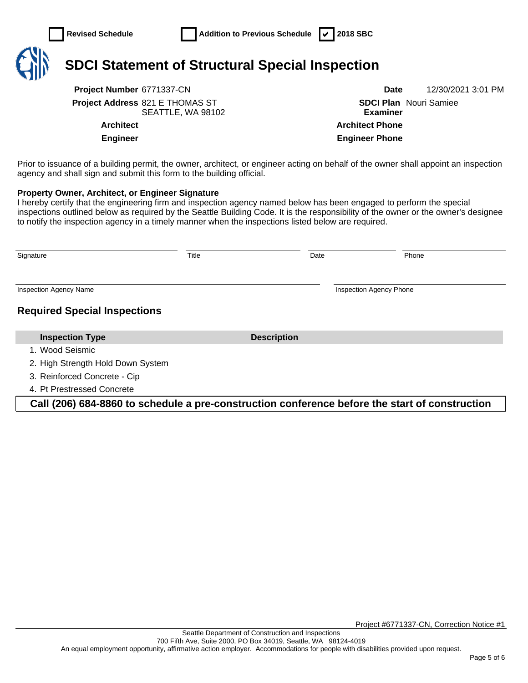

# **SDCI Statement of Structural Special Inspection**

**Project Number** 6771337-CN **Date** 12/30/2021 3:01 PM **Project Address** 821 E THOMAS ST SEATTLE, WA 98102

**SDCI Plan**  Nouri Samiee **Examiner Architect Architect Phone Engineer Engineer Phone**

Prior to issuance of a building permit, the owner, architect, or engineer acting on behalf of the owner shall appoint an inspection agency and shall sign and submit this form to the building official.

#### **Property Owner, Architect, or Engineer Signature**

I hereby certify that the engineering firm and inspection agency named below has been engaged to perform the special inspections outlined below as required by the Seattle Building Code. It is the responsibility of the owner or the owner's designee to notify the inspection agency in a timely manner when the inspections listed below are required.

| Signature                           | Title |                    | Date | Phone                          |
|-------------------------------------|-------|--------------------|------|--------------------------------|
| <b>Inspection Agency Name</b>       |       |                    |      | <b>Inspection Agency Phone</b> |
| <b>Required Special Inspections</b> |       |                    |      |                                |
| <b>Inspection Type</b>              |       | <b>Description</b> |      |                                |
| 1. Wood Seismic                     |       |                    |      |                                |
| 2. High Strength Hold Down System   |       |                    |      |                                |
| 3. Reinforced Concrete - Cip        |       |                    |      |                                |
| 4. Pt Prestressed Concrete          |       |                    |      |                                |

**Call (206) 684-8860 to schedule a pre-construction conference before the start of construction**